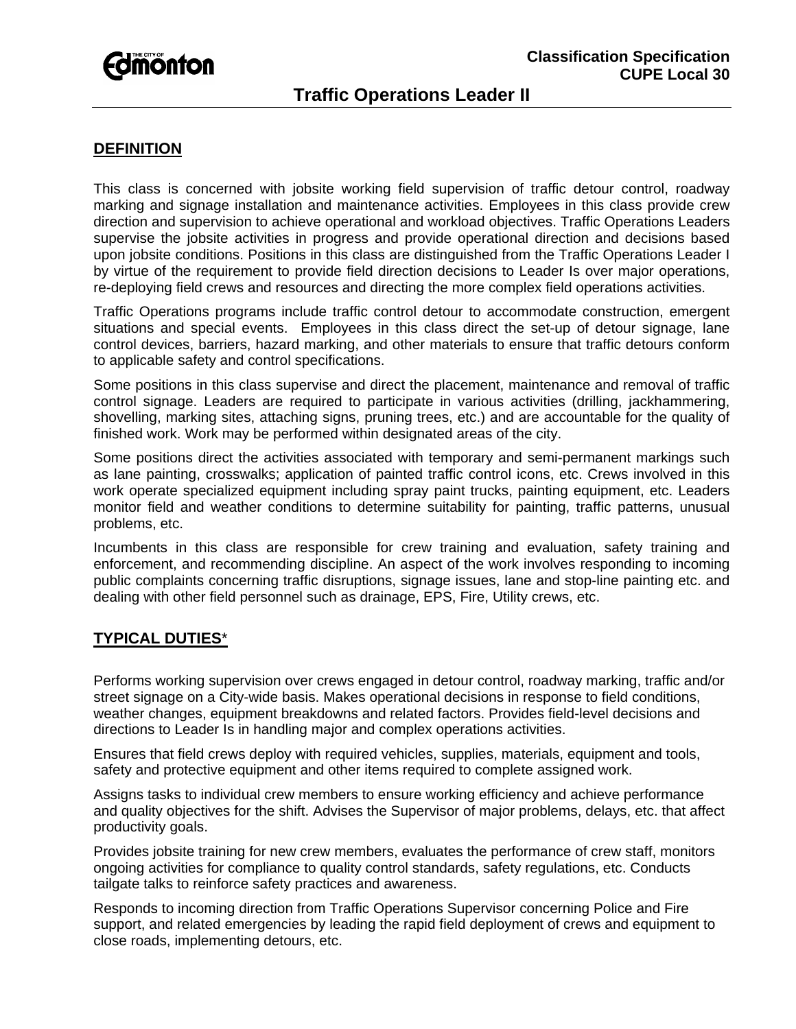# *<u>Edmonton</u>*

# **Traffic Operations Leader II**

### **DEFINITION**

This class is concerned with jobsite working field supervision of traffic detour control, roadway marking and signage installation and maintenance activities. Employees in this class provide crew direction and supervision to achieve operational and workload objectives. Traffic Operations Leaders supervise the jobsite activities in progress and provide operational direction and decisions based upon jobsite conditions. Positions in this class are distinguished from the Traffic Operations Leader I by virtue of the requirement to provide field direction decisions to Leader Is over major operations, re-deploying field crews and resources and directing the more complex field operations activities.

Traffic Operations programs include traffic control detour to accommodate construction, emergent situations and special events. Employees in this class direct the set-up of detour signage, lane control devices, barriers, hazard marking, and other materials to ensure that traffic detours conform to applicable safety and control specifications.

Some positions in this class supervise and direct the placement, maintenance and removal of traffic control signage. Leaders are required to participate in various activities (drilling, jackhammering, shovelling, marking sites, attaching signs, pruning trees, etc.) and are accountable for the quality of finished work. Work may be performed within designated areas of the city.

Some positions direct the activities associated with temporary and semi-permanent markings such as lane painting, crosswalks; application of painted traffic control icons, etc. Crews involved in this work operate specialized equipment including spray paint trucks, painting equipment, etc. Leaders monitor field and weather conditions to determine suitability for painting, traffic patterns, unusual problems, etc.

Incumbents in this class are responsible for crew training and evaluation, safety training and enforcement, and recommending discipline. An aspect of the work involves responding to incoming public complaints concerning traffic disruptions, signage issues, lane and stop-line painting etc. and dealing with other field personnel such as drainage, EPS, Fire, Utility crews, etc.

#### **TYPICAL DUTIES**\*

Performs working supervision over crews engaged in detour control, roadway marking, traffic and/or street signage on a City-wide basis. Makes operational decisions in response to field conditions, weather changes, equipment breakdowns and related factors. Provides field-level decisions and directions to Leader Is in handling major and complex operations activities.

Ensures that field crews deploy with required vehicles, supplies, materials, equipment and tools, safety and protective equipment and other items required to complete assigned work.

Assigns tasks to individual crew members to ensure working efficiency and achieve performance and quality objectives for the shift. Advises the Supervisor of major problems, delays, etc. that affect productivity goals.

Provides jobsite training for new crew members, evaluates the performance of crew staff, monitors ongoing activities for compliance to quality control standards, safety regulations, etc. Conducts tailgate talks to reinforce safety practices and awareness.

Responds to incoming direction from Traffic Operations Supervisor concerning Police and Fire support, and related emergencies by leading the rapid field deployment of crews and equipment to close roads, implementing detours, etc.